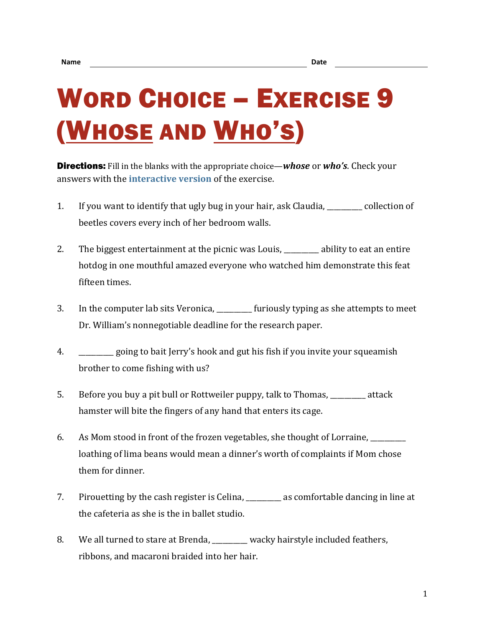## WORD CHOICE – EXERCISE 9 (WHOSE AND WHO'S)

Directions: Fill in the blanks with the appropriate choice—*whose* or *who's*. Check your answers with the **[interactive version](https://chompchomp.com/hotpotatoes/wordchoice09.htm)** of the exercise.

- 1. If you want to identify that ugly bug in your hair, ask Claudia, \_\_\_\_\_\_\_\_\_\_ collection of beetles covers every inch of her bedroom walls.
- 2. The biggest entertainment at the picnic was Louis, \_\_\_\_\_\_\_\_ ability to eat an entire hotdog in one mouthful amazed everyone who watched him demonstrate this feat fifteen times.
- 3. In the computer lab sits Veronica, \_\_\_\_\_\_\_\_\_\_ furiously typing as she attempts to meet Dr. William's nonnegotiable deadline for the research paper.
- 4. \_\_\_\_\_\_\_\_\_\_ going to bait Jerry's hook and gut his fish if you invite your squeamish brother to come fishing with us?
- 5. Before you buy a pit bull or Rottweiler puppy, talk to Thomas, \_\_\_\_\_\_\_\_\_\_ attack hamster will bite the fingers of any hand that enters its cage.
- 6. As Mom stood in front of the frozen vegetables, she thought of Lorraine, \_\_\_\_\_\_\_\_\_\_ loathing of lima beans would mean a dinner's worth of complaints if Mom chose them for dinner.
- 7. Pirouetting by the cash register is Celina, as comfortable dancing in line at the cafeteria as she is the in ballet studio.
- 8. We all turned to stare at Brenda, wacky hairstyle included feathers, ribbons, and macaroni braided into her hair.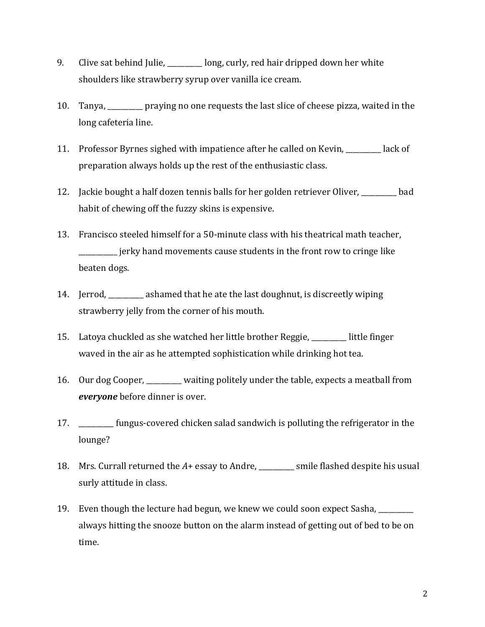- 9. Clive sat behind Julie, \_\_\_\_\_\_\_\_ long, curly, red hair dripped down her white shoulders like strawberry syrup over vanilla ice cream.
- 10. Tanya, \_\_\_\_\_\_\_\_\_\_ praying no one requests the last slice of cheese pizza, waited in the long cafeteria line.
- 11. Professor Byrnes sighed with impatience after he called on Kevin, \_\_\_\_\_\_\_\_\_\_ lack of preparation always holds up the rest of the enthusiastic class.
- 12. Jackie bought a half dozen tennis balls for her golden retriever Oliver, bad habit of chewing off the fuzzy skins is expensive.
- 13. Francisco steeled himself for a 50-minute class with his theatrical math teacher, \_\_\_\_\_\_\_\_\_\_\_ jerky hand movements cause students in the front row to cringe like beaten dogs.
- 14. Jerrod, \_\_\_\_\_\_\_\_\_\_ ashamed that he ate the last doughnut, is discreetly wiping strawberry jelly from the corner of his mouth.
- 15. Latoya chuckled as she watched her little brother Reggie, \_\_\_\_\_\_\_\_\_\_ little finger waved in the air as he attempted sophistication while drinking hot tea.
- 16. Our dog Cooper, \_\_\_\_\_\_\_\_\_\_ waiting politely under the table, expects a meatball from *everyone* before dinner is over.
- 17. \_\_\_\_\_\_\_\_\_\_ fungus-covered chicken salad sandwich is polluting the refrigerator in the lounge?
- 18. Mrs. Currall returned the *A*+ essay to Andre, \_\_\_\_\_\_\_\_\_\_ smile flashed despite his usual surly attitude in class.
- 19. Even though the lecture had begun, we knew we could soon expect Sasha, \_\_\_\_\_\_\_\_\_\_ always hitting the snooze button on the alarm instead of getting out of bed to be on time.